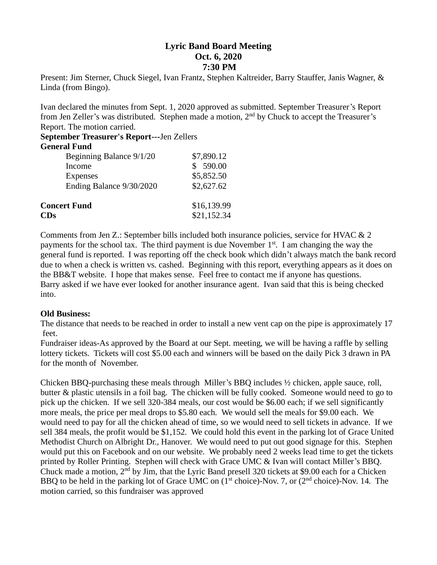# **Lyric Band Board Meeting Oct. 6, 2020 7:30 PM**

Present: Jim Sterner, Chuck Siegel, Ivan Frantz, Stephen Kaltreider, Barry Stauffer, Janis Wagner, & Linda (from Bingo).

Ivan declared the minutes from Sept. 1, 2020 approved as submitted. September Treasurer's Report from Jen Zeller's was distributed. Stephen made a motion, 2<sup>nd</sup> by Chuck to accept the Treasurer's Report. The motion carried.

**September Treasurer's Report---**Jen Zellers

#### **General Fund**

| Beginning Balance 9/1/20 | \$7,890.12  |
|--------------------------|-------------|
| Income                   | 590.00      |
| Expenses                 | \$5,852.50  |
| Ending Balance 9/30/2020 | \$2,627.62  |
| <b>Concert Fund</b>      | \$16,139.99 |
| $\mathbf{CDs}$           | \$21,152.34 |

Comments from Jen Z.: September bills included both insurance policies, service for HVAC & 2 payments for the school tax. The third payment is due November 1<sup>st</sup>. I am changing the way the general fund is reported. I was reporting off the check book which didn't always match the bank record due to when a check is written vs. cashed. Beginning with this report, everything appears as it does on the BB&T website. I hope that makes sense. Feel free to contact me if anyone has questions. Barry asked if we have ever looked for another insurance agent. Ivan said that this is being checked into.

## **Old Business:**

The distance that needs to be reached in order to install a new vent cap on the pipe is approximately 17 feet.

Fundraiser ideas-As approved by the Board at our Sept. meeting, we will be having a raffle by selling lottery tickets. Tickets will cost \$5.00 each and winners will be based on the daily Pick 3 drawn in PA for the month of November.

Chicken BBQ-purchasing these meals through Miller's BBQ includes ½ chicken, apple sauce, roll, butter & plastic utensils in a foil bag. The chicken will be fully cooked. Someone would need to go to pick up the chicken. If we sell 320-384 meals, our cost would be \$6.00 each; if we sell significantly more meals, the price per meal drops to \$5.80 each. We would sell the meals for \$9.00 each. We would need to pay for all the chicken ahead of time, so we would need to sell tickets in advance. If we sell 384 meals, the profit would be \$1,152. We could hold this event in the parking lot of Grace United Methodist Church on Albright Dr., Hanover. We would need to put out good signage for this. Stephen would put this on Facebook and on our website. We probably need 2 weeks lead time to get the tickets printed by Roller Printing. Stephen will check with Grace UMC & Ivan will contact Miller's BBQ. Chuck made a motion,  $2<sup>nd</sup>$  by Jim, that the Lyric Band presell 320 tickets at \$9.00 each for a Chicken BBQ to be held in the parking lot of Grace UMC on  $(1<sup>st</sup> choice)$ -Nov. 7, or  $(2<sup>nd</sup> choice)$ -Nov. 14. The motion carried, so this fundraiser was approved